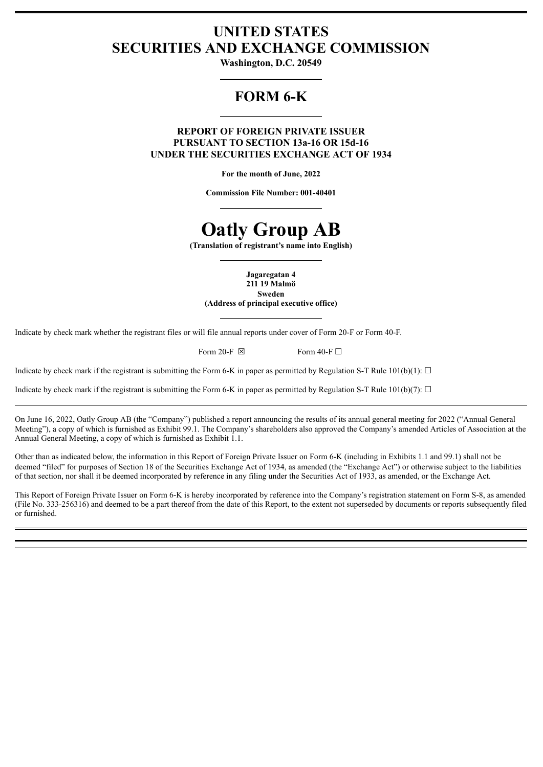# **UNITED STATES SECURITIES AND EXCHANGE COMMISSION**

**Washington, D.C. 20549**

# **FORM 6-K**

**REPORT OF FOREIGN PRIVATE ISSUER PURSUANT TO SECTION 13a-16 OR 15d-16 UNDER THE SECURITIES EXCHANGE ACT OF 1934**

**For the month of June, 2022**

**Commission File Number: 001-40401**

# **Oatly Group AB**

**(Translation of registrant's name into English)**

**Jagaregatan 4 211 19 Malmö Sweden (Address of principal executive office)**

Indicate by check mark whether the registrant files or will file annual reports under cover of Form 20-F or Form 40-F.

Form 20-F  $\boxtimes$  Form 40-F  $\Box$ 

Indicate by check mark if the registrant is submitting the Form 6-K in paper as permitted by Regulation S-T Rule 101(b)(1):  $\Box$ 

Indicate by check mark if the registrant is submitting the Form 6-K in paper as permitted by Regulation S-T Rule 101(b)(7):  $\Box$ 

On June 16, 2022, Oatly Group AB (the "Company") published a report announcing the results of its annual general meeting for 2022 ("Annual General Meeting"), a copy of which is furnished as Exhibit 99.1. The Company's shareholders also approved the Company's amended Articles of Association at the Annual General Meeting, a copy of which is furnished as Exhibit 1.1.

Other than as indicated below, the information in this Report of Foreign Private Issuer on Form 6-K (including in Exhibits 1.1 and 99.1) shall not be deemed "filed" for purposes of Section 18 of the Securities Exchange Act of 1934, as amended (the "Exchange Act") or otherwise subject to the liabilities of that section, nor shall it be deemed incorporated by reference in any filing under the Securities Act of 1933, as amended, or the Exchange Act.

This Report of Foreign Private Issuer on Form 6-K is hereby incorporated by reference into the Company's registration statement on Form S-8, as amended (File No. 333-256316) and deemed to be a part thereof from the date of this Report, to the extent not superseded by documents or reports subsequently filed or furnished.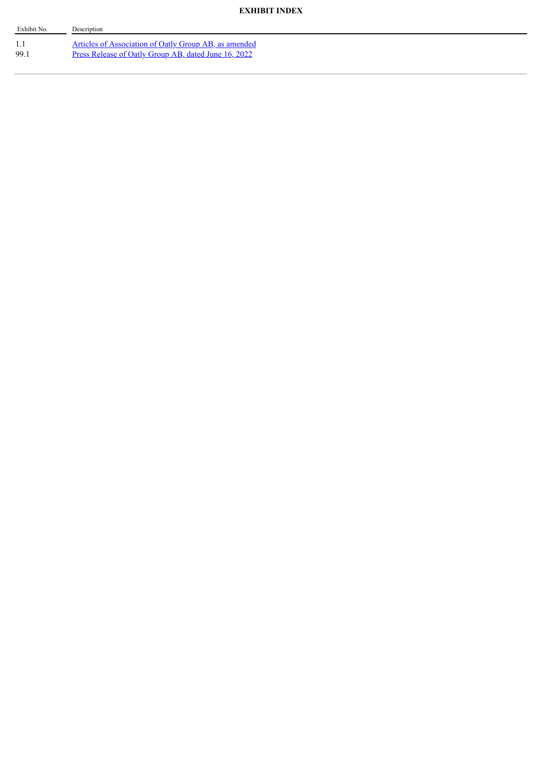# **EXHIBIT INDEX**

| Exhibit No. | Description                                                                                                          |
|-------------|----------------------------------------------------------------------------------------------------------------------|
| 99.         | <u>Articles of Association of Oatly Group AB, as amended</u><br>Press Release of Oatly Group AB, dated June 16, 2022 |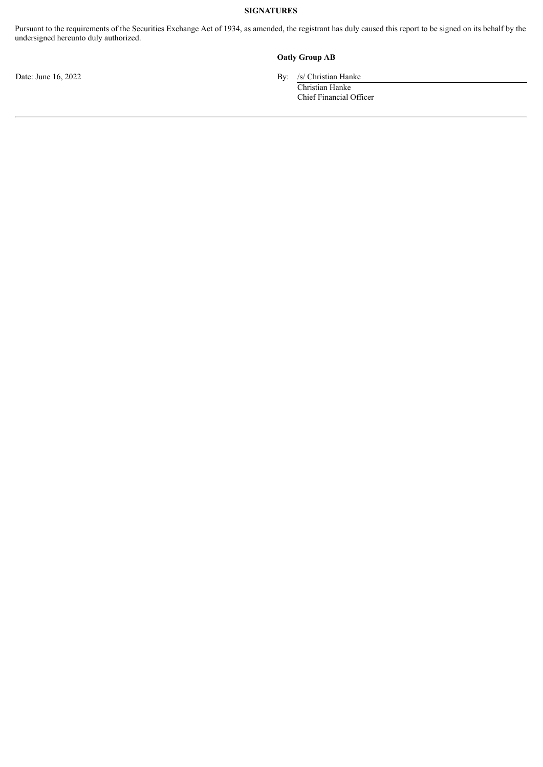## **SIGNATURES**

Pursuant to the requirements of the Securities Exchange Act of 1934, as amended, the registrant has duly caused this report to be signed on its behalf by the undersigned hereunto duly authorized.

## **Oatly Group AB**

Date: June 16, 2022 By: /s/ Christian Hanke

Christian Hanke Chief Financial Officer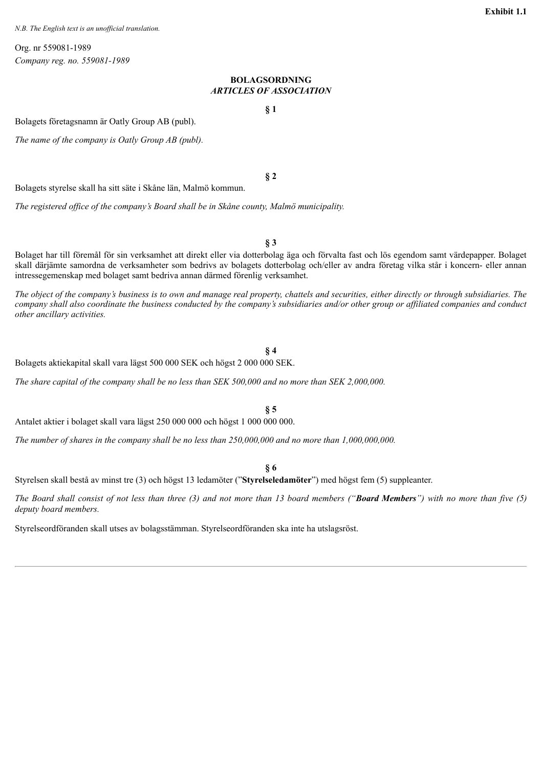<span id="page-3-0"></span>*N.B. The English text is an unofficial translation.*

Org. nr 559081-1989 *Company reg. no. 559081-1989*

### **BOLAGSORDNING** *ARTICLES OF ASSOCIATION*

**§ 1**

**§ 2**

Bolagets företagsnamn är Oatly Group AB (publ).

*The name of the company is Oatly Group AB (publ).*

Bolagets styrelse skall ha sitt säte i Skåne län, Malmö kommun.

*The registered of ice of the company's Board shall be in Skåne county, Malmö municipality.*

**§ 3**

Bolaget har till föremål för sin verksamhet att direkt eller via dotterbolag äga och förvalta fast och lös egendom samt värdepapper. Bolaget skall därjämte samordna de verksamheter som bedrivs av bolagets dotterbolag och/eller av andra företag vilka står i koncern- eller annan intressegemenskap med bolaget samt bedriva annan därmed förenlig verksamhet.

The object of the company's business is to own and manage real property, chattels and securities, either directly or through subsidiaries. The company shall also coordinate the business conducted by the company's subsidiaries and/or other group or affiliated companies and conduct *other ancillary activities.*

# **§ 4**

**§ 5**

Bolagets aktiekapital skall vara lägst 500 000 SEK och högst 2 000 000 SEK.

The share capital of the company shall be no less than SEK  $500,000$  and no more than SEK 2,000,000.

Antalet aktier i bolaget skall vara lägst 250 000 000 och högst 1 000 000 000.

The number of shares in the company shall be no less than  $250,000,000$  and no more than  $1,000,000,000$ .

**§ 6**

Styrelsen skall bestå av minst tre (3) och högst 13 ledamöter ("**Styrelseledamöter**") med högst fem (5) suppleanter.

The Board shall consist of not less than three  $(3)$  and not more than 13 board members ("Board Members") with no more than five  $(5)$ *deputy board members.*

Styrelseordföranden skall utses av bolagsstämman. Styrelseordföranden ska inte ha utslagsröst.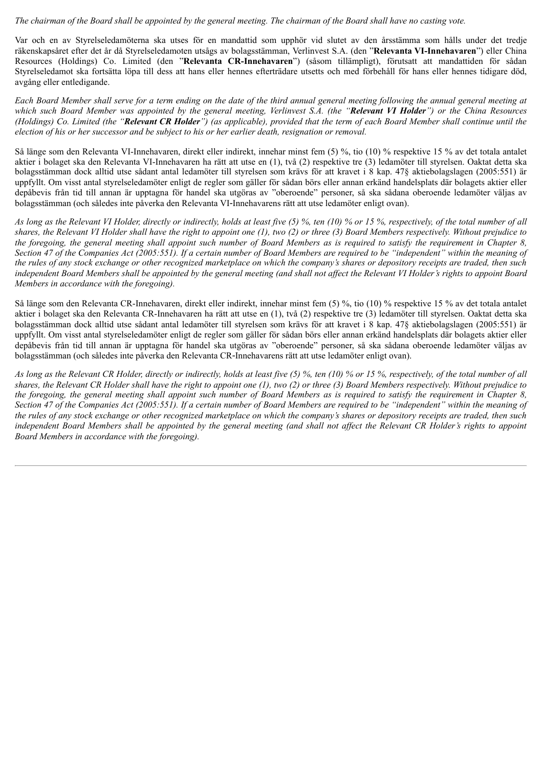#### The chairman of the Board shall be appointed by the general meeting. The chairman of the Board shall have no casting vote.

Var och en av Styrelseledamöterna ska utses för en mandattid som upphör vid slutet av den årsstämma som hålls under det tredje räkenskapsåret efter det år då Styrelseledamoten utsågs av bolagsstämman, Verlinvest S.A. (den "**Relevanta VI-Innehavaren**") eller China Resources (Holdings) Co. Limited (den "**Relevanta CR-Innehavaren**") (såsom tillämpligt), förutsatt att mandattiden för sådan Styrelseledamot ska fortsätta löpa till dess att hans eller hennes efterträdare utsetts och med förbehåll för hans eller hennes tidigare död, avgång eller entledigande.

Each Board Member shall serve for a term ending on the date of the third annual general meeting following the annual general meeting at which such Board Member was appointed by the general meeting, Verlinvest S.A. (the "Relevant VI Holder") or the China Resources (Holdings) Co. Limited (the "Relevant CR Holder") (as applicable), provided that the term of each Board Member shall continue until the election of his or her successor and be subject to his or her earlier death, resignation or removal.

Så länge som den Relevanta VI-Innehavaren, direkt eller indirekt, innehar minst fem (5) %, tio (10) % respektive 15 % av det totala antalet aktier i bolaget ska den Relevanta VI-Innehavaren ha rätt att utse en (1), två (2) respektive tre (3) ledamöter till styrelsen. Oaktat detta ska bolagsstämman dock alltid utse sådant antal ledamöter till styrelsen som krävs för att kravet i 8 kap. 47§ aktiebolagslagen (2005:551) är uppfyllt. Om visst antal styrelseledamöter enligt de regler som gäller för sådan börs eller annan erkänd handelsplats där bolagets aktier eller depåbevis från tid till annan är upptagna för handel ska utgöras av "oberoende" personer, så ska sådana oberoende ledamöter väljas av bolagsstämman (och således inte påverka den Relevanta VI‑Innehavarens rätt att utse ledamöter enligt ovan).

As long as the Relevant VI Holder, directly or indirectly, holds at least five (5) %, ten (10) % or 15 %, respectively, of the total number of all shares, the Relevant VI Holder shall have the right to appoint one  $(1)$ , two  $(2)$  or three  $(3)$  Board Members respectively. Without prejudice to the foregoing, the general meeting shall appoint such number of Board Members as is required to satisfy the requirement in Chapter 8, Section 47 of the Companies Act (2005:551). If a certain number of Board Members are required to be "independent" within the meaning of the rules of any stock exchange or other recognized marketplace on which the company's shares or depository receipts are traded, then such independent Board Members shall be appointed by the general meeting (and shall not affect the Relevant VI Holder's rights to appoint Board *Members in accordance with the foregoing).*

Så länge som den Relevanta CR-Innehavaren, direkt eller indirekt, innehar minst fem (5) %, tio (10) % respektive 15 % av det totala antalet aktier i bolaget ska den Relevanta CR-Innehavaren ha rätt att utse en (1), två (2) respektive tre (3) ledamöter till styrelsen. Oaktat detta ska bolagsstämman dock alltid utse sådant antal ledamöter till styrelsen som krävs för att kravet i 8 kap. 47§ aktiebolagslagen (2005:551) är uppfyllt. Om visst antal styrelseledamöter enligt de regler som gäller för sådan börs eller annan erkänd handelsplats där bolagets aktier eller depåbevis från tid till annan är upptagna för handel ska utgöras av "oberoende" personer, så ska sådana oberoende ledamöter väljas av bolagsstämman (och således inte påverka den Relevanta CR‑Innehavarens rätt att utse ledamöter enligt ovan).

As long as the Relevant CR Holder, directly or indirectly, holds at least five (5) %, ten (10) % or 15 %, respectively, of the total number of all shares, the Relevant CR Holder shall have the right to appoint one (1), two (2) or three (3) Board Members respectively. Without prejudice to the foregoing, the general meeting shall appoint such number of Board Members as is required to satisfy the requirement in Chapter 8, Section 47 of the Companies Act (2005:551). If a certain number of Board Members are required to be "independent" within the meaning of the rules of any stock exchange or other recognized marketplace on which the company's shares or depository receipts are traded, then such independent Board Members shall be appointed by the general meeting (and shall not affect the Relevant CR Holder's rights to appoint *Board Members in accordance with the foregoing).*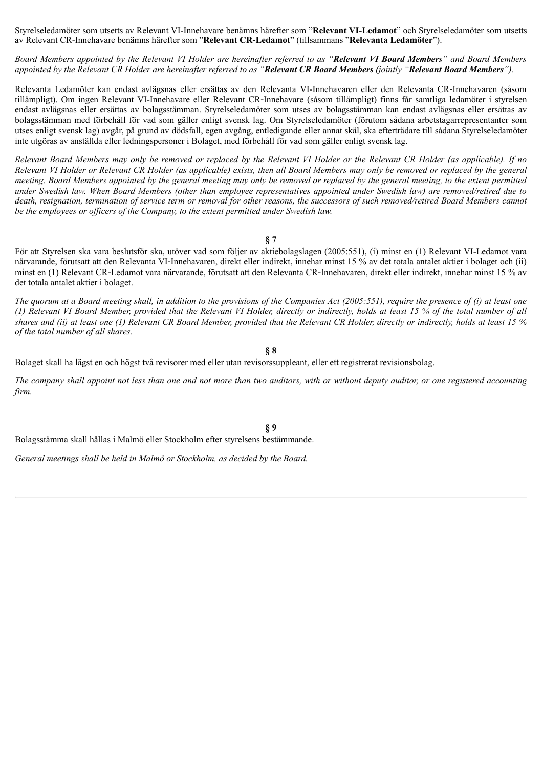Styrelseledamöter som utsetts av Relevant VI-Innehavare benämns härefter som "**Relevant VI-Ledamot**" och Styrelseledamöter som utsetts av Relevant CR-Innehavare benämns härefter som "**Relevant CR-Ledamot**" (tillsammans "**Relevanta Ledamöter**").

Board Members appointed by the Relevant VI Holder are hereinafter referred to as "Relevant VI Board Members" and Board Members appointed by the Relevant CR Holder are hereinafter referred to as "Relevant CR Board Members (jointly "Relevant Board Members").

Relevanta Ledamöter kan endast avlägsnas eller ersättas av den Relevanta VI-Innehavaren eller den Relevanta CR‑Innehavaren (såsom tillämpligt). Om ingen Relevant VI-Innehavare eller Relevant CR‑Innehavare (såsom tillämpligt) finns får samtliga ledamöter i styrelsen endast avlägsnas eller ersättas av bolagsstämman. Styrelseledamöter som utses av bolagsstämman kan endast avlägsnas eller ersättas av bolagsstämman med förbehåll för vad som gäller enligt svensk lag. Om Styrelseledamöter (förutom sådana arbetstagarrepresentanter som utses enligt svensk lag) avgår, på grund av dödsfall, egen avgång, entledigande eller annat skäl, ska efterträdare till sådana Styrelseledamöter inte utgöras av anställda eller ledningspersoner i Bolaget, med förbehåll för vad som gäller enligt svensk lag.

Relevant Board Members may only be removed or replaced by the Relevant VI Holder or the Relevant CR Holder (as applicable). If no Relevant VI Holder or Relevant CR Holder (as applicable) exists, then all Board Members may only be removed or replaced by the general meeting. Board Members appointed by the general meeting may only be removed or replaced by the general meeting, to the extent permitted under Swedish law. When Board Members (other than employee representatives appointed under Swedish law) are removed/retired due to death, resignation, termination of service term or removal for other reasons, the successors of such removed/retired Board Members cannot *be the employees or of icers of the Company, to the extent permitted under Swedish law.*

**§ 7**

För att Styrelsen ska vara beslutsför ska, utöver vad som följer av aktiebolagslagen (2005:551), (i) minst en (1) Relevant VI-Ledamot vara närvarande, förutsatt att den Relevanta VI‑Innehavaren, direkt eller indirekt, innehar minst 15 % av det totala antalet aktier i bolaget och (ii) minst en (1) Relevant CR‑Ledamot vara närvarande, förutsatt att den Relevanta CR‑Innehavaren, direkt eller indirekt, innehar minst 15 % av det totala antalet aktier i bolaget.

The quorum at a Board meeting shall, in addition to the provisions of the Companies Act (2005:551), require the presence of (i) at least one (1) Relevant VI Board Member, provided that the Relevant VI Holder, directly or indirectly, holds at least 15 % of the total number of all shares and (ii) at least one (1) Relevant CR Board Member, provided that the Relevant CR Holder, directly or indirectly, holds at least 15  $\%$ *of the total number of all shares.*

#### **§ 8**

Bolaget skall ha lägst en och högst två revisorer med eller utan revisorssuppleant, eller ett registrerat revisionsbolag.

The company shall appoint not less than one and not more than two auditors, with or without deputy auditor, or one registered accounting *firm.*

**§ 9**

Bolagsstämma skall hållas i Malmö eller Stockholm efter styrelsens bestämmande.

*General meetings shall be held in Malmö or Stockholm, as decided by the Board.*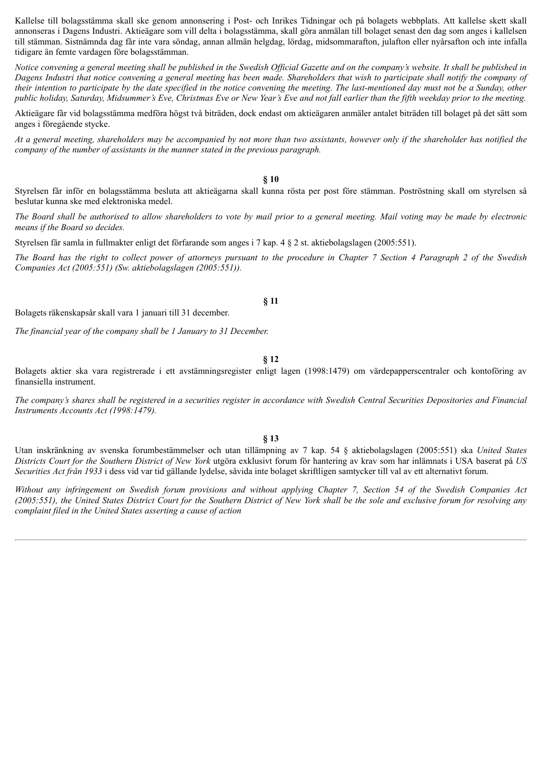Kallelse till bolagsstämma skall ske genom annonsering i Post- och Inrikes Tidningar och på bolagets webbplats. Att kallelse skett skall annonseras i Dagens Industri. Aktieägare som vill delta i bolagsstämma, skall göra anmälan till bolaget senast den dag som anges i kallelsen till stämman. Sistnämnda dag får inte vara söndag, annan allmän helgdag, lördag, midsommarafton, julafton eller nyårsafton och inte infalla tidigare än femte vardagen före bolagsstämman.

Notice convening a general meeting shall be published in the Swedish Official Gazette and on the company's website. It shall be published in Dagens Industri that notice convening a general meeting has been made. Shareholders that wish to participate shall notify the company of their intention to participate by the date specified in the notice convening the meeting. The last-mentioned day must not be a Sunday, other public holiday, Saturday, Midsummer's Eve, Christmas Eve or New Year's Eve and not fall earlier than the fifth weekday prior to the meeting.

Aktieägare får vid bolagsstämma medföra högst två biträden, dock endast om aktieägaren anmäler antalet biträden till bolaget på det sätt som anges i föregående stycke.

At a general meeting, shareholders may be accompanied by not more than two assistants, however only if the shareholder has notified the *company of the number of assistants in the manner stated in the previous paragraph.*

#### **§ 10**

Styrelsen får inför en bolagsstämma besluta att aktieägarna skall kunna rösta per post före stämman. Poströstning skall om styrelsen så beslutar kunna ske med elektroniska medel.

The Board shall be authorised to allow shareholders to vote by mail prior to a general meeting. Mail voting may be made by electronic *means if the Board so decides.*

Styrelsen får samla in fullmakter enligt det förfarande som anges i 7 kap. 4 § 2 st. aktiebolagslagen (2005:551).

The Board has the right to collect power of attorneys pursuant to the procedure in Chapter 7 Section 4 Paragraph 2 of the Swedish *Companies Act (2005:551) (Sw. aktiebolagslagen (2005:551)).*

#### **§ 11**

Bolagets räkenskapsår skall vara 1 januari till 31 december.

*The financial year of the company shall be 1 January to 31 December.*

**§ 12**

Bolagets aktier ska vara registrerade i ett avstämningsregister enligt lagen (1998:1479) om värdepapperscentraler och kontoföring av finansiella instrument.

The company's shares shall be registered in a securities register in accordance with Swedish Central Securities Depositories and Financial *Instruments Accounts Act (1998:1479).*

#### **§ 13**

Utan inskränkning av svenska forumbestämmelser och utan tillämpning av 7 kap. 54 § aktiebolagslagen (2005:551) ska *United States Districts Court for the Southern District of New York* utgöra exklusivt forum för hantering av krav som har inlämnats i USA baserat på *US Securities Act från 1933* i dess vid var tid gällande lydelse, såvida inte bolaget skriftligen samtycker till val av ett alternativt forum.

Without any infringement on Swedish forum provisions and without applying Chapter 7, Section 54 of the Swedish Companies Act (2005:551), the United States District Court for the Southern District of New York shall be the sole and exclusive forum for resolving any *complaint filed in the United States asserting a cause of action*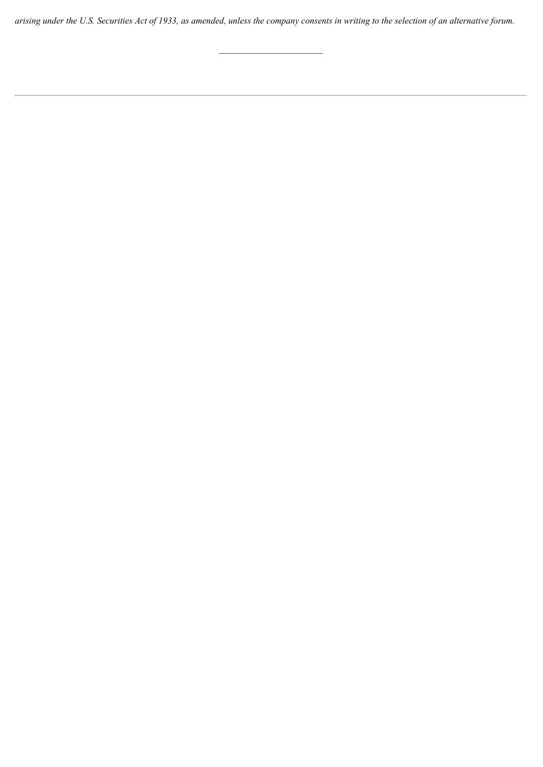arising under the U.S. Securities Act of 1933, as amended, unless the company consents in writing to the selection of an alternative forum.

 $\overline{\phantom{a}}$  , where  $\overline{\phantom{a}}$  , where  $\overline{\phantom{a}}$  , where  $\overline{\phantom{a}}$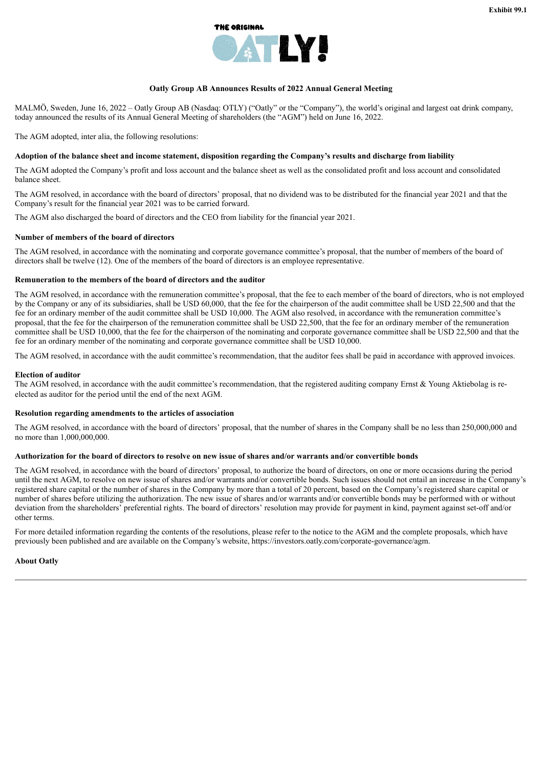

#### **Oatly Group AB Announces Results of 2022 Annual General Meeting**

<span id="page-8-0"></span>MALMÖ, Sweden, June 16, 2022 – Oatly Group AB (Nasdaq: OTLY) ("Oatly" or the "Company"), the world's original and largest oat drink company, today announced the results of its Annual General Meeting of shareholders (the "AGM") held on June 16, 2022.

The AGM adopted, inter alia, the following resolutions:

#### Adoption of the balance sheet and income statement, disposition regarding the Company's results and discharge from liability

The AGM adopted the Company's profit and loss account and the balance sheet as well as the consolidated profit and loss account and consolidated balance sheet.

The AGM resolved, in accordance with the board of directors' proposal, that no dividend was to be distributed for the financial year 2021 and that the Company's result for the financial year 2021 was to be carried forward.

The AGM also discharged the board of directors and the CEO from liability for the financial year 2021.

#### **Number of members of the board of directors**

The AGM resolved, in accordance with the nominating and corporate governance committee's proposal, that the number of members of the board of directors shall be twelve (12). One of the members of the board of directors is an employee representative.

#### **Remuneration to the members of the board of directors and the auditor**

The AGM resolved, in accordance with the remuneration committee's proposal, that the fee to each member of the board of directors, who is not employed by the Company or any of its subsidiaries, shall be USD 60,000, that the fee for the chairperson of the audit committee shall be USD 22,500 and that the fee for an ordinary member of the audit committee shall be USD 10,000. The AGM also resolved, in accordance with the remuneration committee's proposal, that the fee for the chairperson of the remuneration committee shall be USD 22,500, that the fee for an ordinary member of the remuneration committee shall be USD 10,000, that the fee for the chairperson of the nominating and corporate governance committee shall be USD 22,500 and that the fee for an ordinary member of the nominating and corporate governance committee shall be USD 10,000.

The AGM resolved, in accordance with the audit committee's recommendation, that the auditor fees shall be paid in accordance with approved invoices.

#### **Election of auditor**

The AGM resolved, in accordance with the audit committee's recommendation, that the registered auditing company Ernst & Young Aktiebolag is reelected as auditor for the period until the end of the next AGM.

#### **Resolution regarding amendments to the articles of association**

The AGM resolved, in accordance with the board of directors' proposal, that the number of shares in the Company shall be no less than 250,000,000 and no more than 1,000,000,000.

#### Authorization for the board of directors to resolve on new issue of shares and/or warrants and/or convertible bonds

The AGM resolved, in accordance with the board of directors' proposal, to authorize the board of directors, on one or more occasions during the period until the next AGM, to resolve on new issue of shares and/or warrants and/or convertible bonds. Such issues should not entail an increase in the Company's registered share capital or the number of shares in the Company by more than a total of 20 percent, based on the Company's registered share capital or number of shares before utilizing the authorization. The new issue of shares and/or warrants and/or convertible bonds may be performed with or without deviation from the shareholders' preferential rights. The board of directors' resolution may provide for payment in kind, payment against set-off and/or other terms.

For more detailed information regarding the contents of the resolutions, please refer to the notice to the AGM and the complete proposals, which have previously been published and are available on the Company's website, https://investors.oatly.com/corporate-governance/agm.

#### **About Oatly**